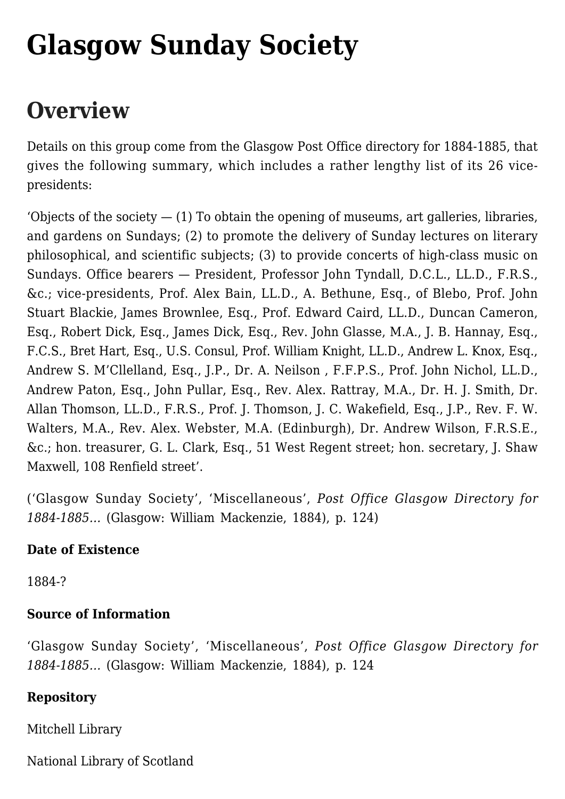# **[Glasgow Sunday Society](https://www.glasgowsliterarybonds.org/societies/glasgow-sunday-society/)**

## **Overview**

Details on this group come from the Glasgow Post Office directory for 1884-1885, that gives the following summary, which includes a rather lengthy list of its 26 vicepresidents:

'Objects of the society  $-$  (1) To obtain the opening of museums, art galleries, libraries, and gardens on Sundays; (2) to promote the delivery of Sunday lectures on literary philosophical, and scientific subjects; (3) to provide concerts of high-class music on Sundays. Office bearers — President, Professor John Tyndall, D.C.L., LL.D., F.R.S., &c.; vice-presidents, Prof. Alex Bain, LL.D., A. Bethune, Esq., of Blebo, Prof. John Stuart Blackie, James Brownlee, Esq., Prof. Edward Caird, LL.D., Duncan Cameron, Esq., Robert Dick, Esq., James Dick, Esq., Rev. John Glasse, M.A., J. B. Hannay, Esq., F.C.S., Bret Hart, Esq., U.S. Consul, Prof. William Knight, LL.D., Andrew L. Knox, Esq., Andrew S. M'Cllelland, Esq., J.P., Dr. A. Neilson , F.F.P.S., Prof. John Nichol, LL.D., Andrew Paton, Esq., John Pullar, Esq., Rev. Alex. Rattray, M.A., Dr. H. J. Smith, Dr. Allan Thomson, LL.D., F.R.S., Prof. J. Thomson, J. C. Wakefield, Esq., J.P., Rev. F. W. Walters, M.A., Rev. Alex. Webster, M.A. (Edinburgh), Dr. Andrew Wilson, F.R.S.E., &c.; hon. treasurer, G. L. Clark, Esq., 51 West Regent street; hon. secretary, J. Shaw Maxwell, 108 Renfield street'.

('Glasgow Sunday Society', 'Miscellaneous', *Post Office Glasgow Directory for 1884-1885…* (Glasgow: William Mackenzie, 1884), p. 124)

#### **Date of Existence**

1884-?

#### **Source of Information**

'Glasgow Sunday Society', 'Miscellaneous', *Post Office Glasgow Directory for 1884-1885…* (Glasgow: William Mackenzie, 1884), p. 124

#### **Repository**

Mitchell Library

National Library of Scotland